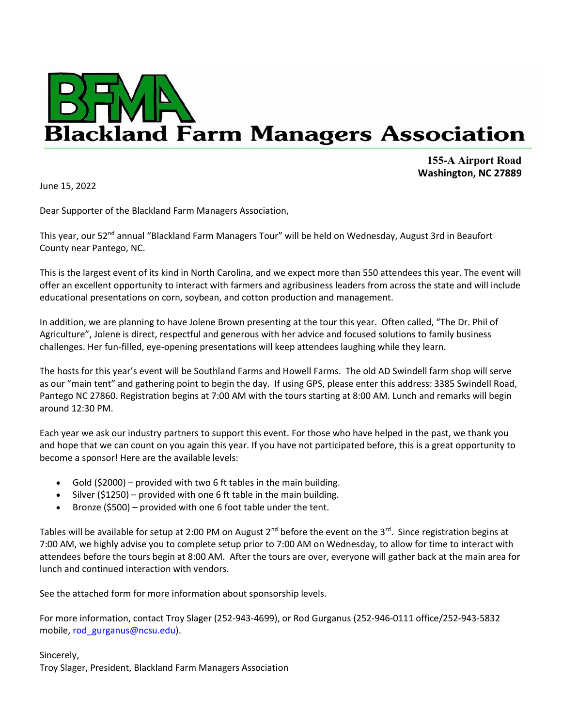

155-A Airport Road Washington, NC 27889

June 15, 2022

Dear Supporter of the Blackland Farm Managers Association,

This year, our 52<sup>nd</sup> annual "Blackland Farm Managers Tour" will be held on Wednesday, August 3rd in Beaufort County near Pantego, NC.

This is the largest event of its kind in North Carolina, and we expect more than 550 attendees this year. The event will offer an excellent opportunity to interact with farmers and agribusiness leaders from across the state and will include educational presentations on corn, soybean, and cotton production and management.

In addition, we are planning to have Jolene Brown presenting at the tour this year. Often called, "The Dr. Phil of Agriculture", Jolene is direct, respectful and generous with her advice and focused solutions to family business challenges. Her fun-filled, eye-opening presentations will keep attendees laughing while they learn.

The hosts for this year's event will be Southland Farms and Howell Farms. The old AD Swindell farm shop will serve as our "main tent" and gathering point to begin the day. If using GPS, please enter this address: 3385 Swindell Road, Pantego NC 27860. Registration begins at 7:00 AM with the tours starting at 8:00 AM. Lunch and remarks will begin around 12:30 PM.

Each year we ask our industry partners to support this event. For those who have helped in the past, we thank you and hope that we can count on you again this year. If you have not participated before, this is a great opportunity to become a sponsor! Here are the available levels:

- Gold (\$2000) provided with two 6 ft tables in the main building.
- Silver (\$1250) provided with one 6 ft table in the main building.
- Bronze (\$500) provided with one 6 foot table under the tent.

Tables will be available for setup at 2:00 PM on August  $2^{nd}$  before the event on the 3<sup>rd</sup>. Since registration begins at 7:00 AM, we highly advise you to complete setup prior to 7:00 AM on Wednesday, to allow for time to interact with attendees before the tours begin at 8:00 AM. After the tours are over, everyone will gather back at the main area for lunch and continued interaction with vendors.

See the attached form for more information about sponsorship levels.

For more information, contact Troy Slager (252-943-4699), or Rod Gurganus (252-946-0111 office/252-943-5832 mobile, rod\_gurganus@ncsu.edu).

Sincerely, Troy Slager, President, Blackland Farm Managers Association